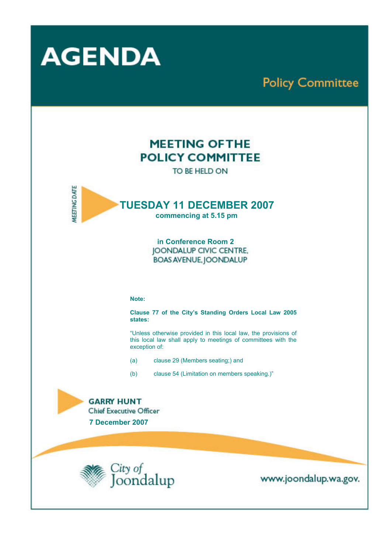

# **Policy Committee**

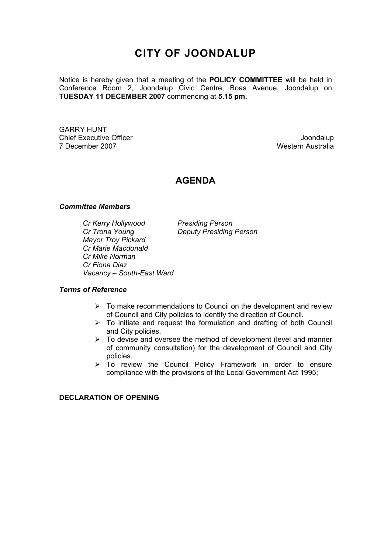# **CITY OF JOONDALUP**

Notice is hereby given that a meeting of the **POLICY COMMITTEE** will be held in Conference Room 2, Joondalup Civic Centre, Boas Avenue, Joondalup on **TUESDAY 11 DECEMBER 2007** commencing at **5.15 pm.** 

GARRY HUNT Chief Executive Officer **Joondalup** 7 December 2007 Western Australia

# **AGENDA**

#### *Committee Members*

*Cr Kerry Hollywood Presiding Person Cr Trona Young Deputy Presiding Person Mayor Troy Pickard Cr Marie Macdonald Cr Mike Norman Cr Fiona Diaz Vacancy – South-East Ward* 

#### *Terms of Reference*

- $\geq$  To make recommendations to Council on the development and review of Council and City policies to identify the direction of Council.
- $\triangleright$  To initiate and request the formulation and drafting of both Council and City policies.
- $\triangleright$  To devise and oversee the method of development (level and manner of community consultation) for the development of Council and City policies.
- $\triangleright$  To review the Council Policy Framework in order to ensure compliance with the provisions of the Local Government Act 1995;

**DECLARATION OF OPENING**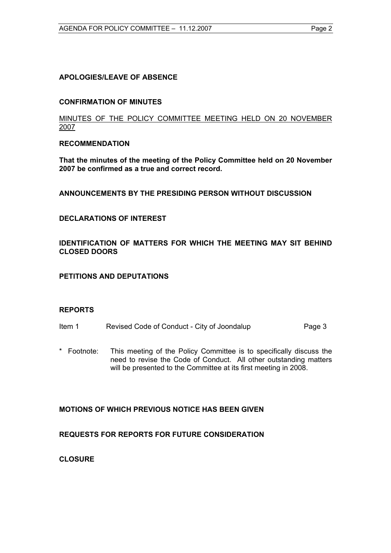# **APOLOGIES/LEAVE OF ABSENCE**

#### **CONFIRMATION OF MINUTES**

#### MINUTES OF THE POLICY COMMITTEE MEETING HELD ON 20 NOVEMBER 2007

#### **RECOMMENDATION**

**That the minutes of the meeting of the Policy Committee held on 20 November 2007 be confirmed as a true and correct record.** 

**ANNOUNCEMENTS BY THE PRESIDING PERSON WITHOUT DISCUSSION** 

#### **DECLARATIONS OF INTEREST**

**IDENTIFICATION OF MATTERS FOR WHICH THE MEETING MAY SIT BEHIND CLOSED DOORS** 

#### **PETITIONS AND DEPUTATIONS**

#### **REPORTS**

- Item 1 Revised Code of Conduct City of Joondalup Page 3
- \* Footnote: This meeting of the Policy Committee is to specifically discuss the need to revise the Code of Conduct. All other outstanding matters will be presented to the Committee at its first meeting in 2008.

# **MOTIONS OF WHICH PREVIOUS NOTICE HAS BEEN GIVEN**

# **REQUESTS FOR REPORTS FOR FUTURE CONSIDERATION**

**CLOSURE**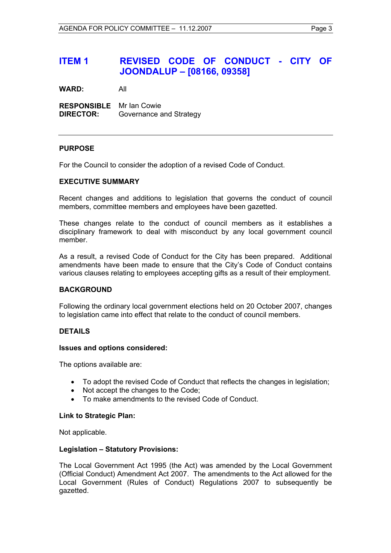**WARD:** All

**RESPONSIBLE** Mr Ian Cowie **DIRECTOR:** Governance and Strategy

# **PURPOSE**

For the Council to consider the adoption of a revised Code of Conduct.

#### **EXECUTIVE SUMMARY**

Recent changes and additions to legislation that governs the conduct of council members, committee members and employees have been gazetted.

These changes relate to the conduct of council members as it establishes a disciplinary framework to deal with misconduct by any local government council member.

As a result, a revised Code of Conduct for the City has been prepared. Additional amendments have been made to ensure that the City's Code of Conduct contains various clauses relating to employees accepting gifts as a result of their employment.

#### **BACKGROUND**

Following the ordinary local government elections held on 20 October 2007, changes to legislation came into effect that relate to the conduct of council members.

# **DETAILS**

# **Issues and options considered:**

The options available are:

- To adopt the revised Code of Conduct that reflects the changes in legislation;
- Not accept the changes to the Code;
- To make amendments to the revised Code of Conduct.

#### **Link to Strategic Plan:**

Not applicable.

#### **Legislation – Statutory Provisions:**

The Local Government Act 1995 (the Act) was amended by the Local Government (Official Conduct) Amendment Act 2007. The amendments to the Act allowed for the Local Government (Rules of Conduct) Regulations 2007 to subsequently be gazetted.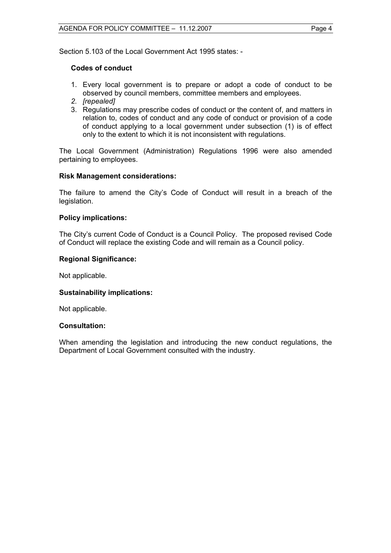Section 5.103 of the Local Government Act 1995 states: -

# **Codes of conduct**

- 1. Every local government is to prepare or adopt a code of conduct to be observed by council members, committee members and employees.
- *2. [repealed]*
- 3. Regulations may prescribe codes of conduct or the content of, and matters in relation to, codes of conduct and any code of conduct or provision of a code of conduct applying to a local government under subsection (1) is of effect only to the extent to which it is not inconsistent with regulations.

The Local Government (Administration) Regulations 1996 were also amended pertaining to employees.

# **Risk Management considerations:**

The failure to amend the City's Code of Conduct will result in a breach of the legislation.

# **Policy implications:**

The City's current Code of Conduct is a Council Policy. The proposed revised Code of Conduct will replace the existing Code and will remain as a Council policy.

#### **Regional Significance:**

Not applicable.

# **Sustainability implications:**

Not applicable.

#### **Consultation:**

When amending the legislation and introducing the new conduct regulations, the Department of Local Government consulted with the industry.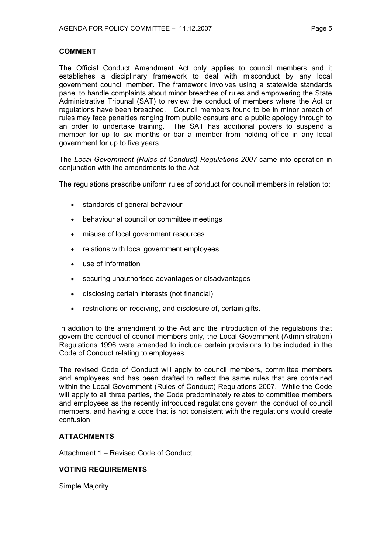# **COMMENT**

The Official Conduct Amendment Act only applies to council members and it establishes a disciplinary framework to deal with misconduct by any local government council member. The framework involves using a statewide standards panel to handle complaints about minor breaches of rules and empowering the State Administrative Tribunal (SAT) to review the conduct of members where the Act or regulations have been breached. Council members found to be in minor breach of rules may face penalties ranging from public censure and a public apology through to an order to undertake training. The SAT has additional powers to suspend a member for up to six months or bar a member from holding office in any local government for up to five years.

The *Local Government (Rules of Conduct) Regulations 2007* came into operation in conjunction with the amendments to the Act.

The regulations prescribe uniform rules of conduct for council members in relation to:

- standards of general behaviour
- behaviour at council or committee meetings
- misuse of local government resources
- relations with local government employees
- use of information
- securing unauthorised advantages or disadvantages
- disclosing certain interests (not financial)
- restrictions on receiving, and disclosure of, certain gifts.

In addition to the amendment to the Act and the introduction of the regulations that govern the conduct of council members only, the Local Government (Administration) Regulations 1996 were amended to include certain provisions to be included in the Code of Conduct relating to employees.

The revised Code of Conduct will apply to council members, committee members and employees and has been drafted to reflect the same rules that are contained within the Local Government (Rules of Conduct) Regulations 2007. While the Code will apply to all three parties, the Code predominately relates to committee members and employees as the recently introduced regulations govern the conduct of council members, and having a code that is not consistent with the regulations would create confusion.

# **ATTACHMENTS**

Attachment 1 – Revised Code of Conduct

# **VOTING REQUIREMENTS**

Simple Majority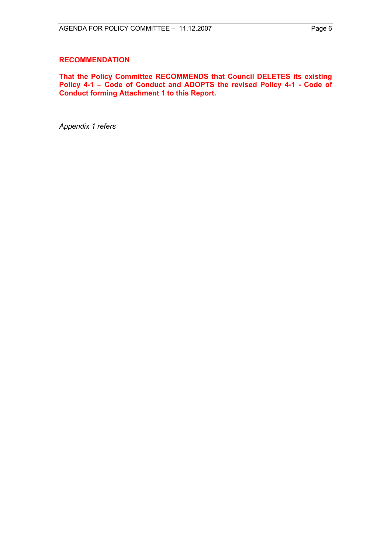#### **RECOMMENDATION**

**That the Policy Committee RECOMMENDS that Council DELETES its existing Policy 4-1 – Code of Conduct and ADOPTS the revised Policy 4-1 - Code of Conduct forming Attachment 1 to this Report.** 

*Appendix 1 refers*